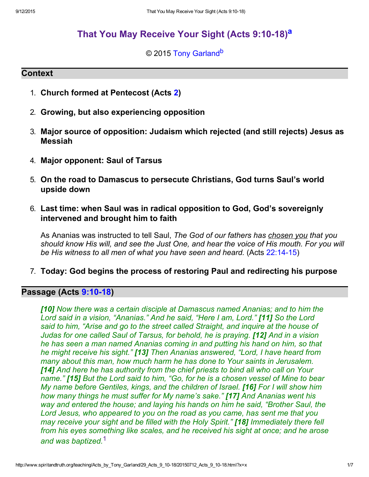# That You May Receive Your Sight (Acts 9:10-18)<sup>a</sup>

## <span id="page-0-2"></span><span id="page-0-1"></span>© 2015 [Tony Garland](http://www.spiritandtruth.org/id/tg.htm)<sup>b</sup>

### **Context**

- 1. Church formed at Pentecost (Acts [2](http://www.spiritandtruth.org/bibles/nasb/b44c002.htm#Acts_C2V1))
- 2. Growing, but also experiencing opposition
- 3. Major source of opposition: Judaism which rejected (and still rejects) Jesus as Messiah
- 4. Major opponent: Saul of Tarsus
- 5. On the road to Damascus to persecute Christians, God turns Saul's world upside down
- 6. Last time: when Saul was in radical opposition to God, God's sovereignly intervened and brought him to faith

As Ananias was instructed to tell Saul, The God of our fathers has chosen you that you should know His will, and see the Just One, and hear the voice of His mouth. For you will be His witness to all men of what you have seen and heard. (Acts  $22:14-15$ )

7. Today: God begins the process of restoring Paul and redirecting his purpose

## Passage (Acts 9:10-18)

<span id="page-0-0"></span>[10] Now there was a certain disciple at Damascus named Ananias; and to him the Lord said in a vision, "Ananias." And he said, "Here I am, Lord." [11] So the Lord said to him, "Arise and go to the street called Straight, and inquire at the house of Judas for one called Saul of Tarsus, for behold, he is praying. [12] And in a vision he has seen a man named Ananias coming in and putting his hand on him, so that he might receive his sight." [13] Then Ananias answered, "Lord, I have heard from many about this man, how much harm he has done to Your saints in Jerusalem. [14] And here he has authority from the chief priests to bind all who call on Your name." [15] But the Lord said to him, "Go, for he is a chosen vessel of Mine to bear My name before Gentiles, kings, and the children of Israel. [16] For I will show him how many things he must suffer for My name's sake." [17] And Ananias went his way and entered the house; and laying his hands on him he said, "Brother Saul, the Lord Jesus, who appeared to you on the road as you came, has sent me that you may receive your sight and be filled with the Holy Spirit." [18] Immediately there fell from his eyes something like scales, and he received his sight at once; and he arose and was baptized.<sup>1</sup>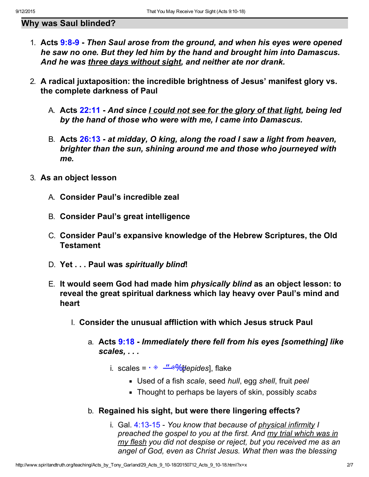## Why was Saul blinded?

- 1. Acts  $9:8-9$  Then Saul arose from the ground, and when his eyes were opened he saw no one. But they led him by the hand and brought him into Damascus. And he was three days without sight, and neither ate nor drank.
- 2. A radical juxtaposition: the incredible brightness of Jesus' manifest glory vs. the complete darkness of Paul
	- A. Acts [22:11](http://www.spiritandtruth.org/bibles/nasb/b44c022.htm#Acts_C22V11)  And since *I could not see for the glory of that light*, being led by the hand of those who were with me, I came into Damascus.
	- B. Acts [26:13](http://www.spiritandtruth.org/bibles/nasb/b44c026.htm#Acts_C26V13)  at midday, O king, along the road I saw a light from heaven, brighter than the sun, shining around me and those who journeyed with me.
- 3. As an object lesson
	- A. Consider Paul's incredible zeal
	- B. Consider Paul's great intelligence
	- C. Consider Paul's expansive knowledge of the Hebrew Scriptures, the Old **Testament**
	- D. Yet . . . Paul was spiritually blind!
	- E. It would seem God had made him physically blind as an object lesson: to reveal the great spiritual darkness which lay heavy over Paul's mind and heart
		- I. Consider the unusual affliction with which Jesus struck Paul
			- a. Acts [9:18](http://www.spiritandtruth.org/bibles/nasb/b44c009.htm#Acts_C9V18)  Immediately there fell from his eyes [something] like scales, . . .
				- i. scales =  $\cdot \text{\textdegree}$   $\frac{\text{\textdegree} \text{#}}{\text{\textdegree} \text{#}}$  scales =  $\cdot \text{\textdegree}$ 
					- Used of a fish scale, seed hull, egg shell, fruit peel
					- Thought to perhaps be layers of skin, possibly scabs
			- b. Regained his sight, but were there lingering effects?
				- i. Gal.  $4:13-15$  You know that because of physical infirmity I preached the gospel to you at the first. And my trial which was in my flesh you did not despise or reject, but you received me as an angel of God, even as Christ Jesus. What then was the blessing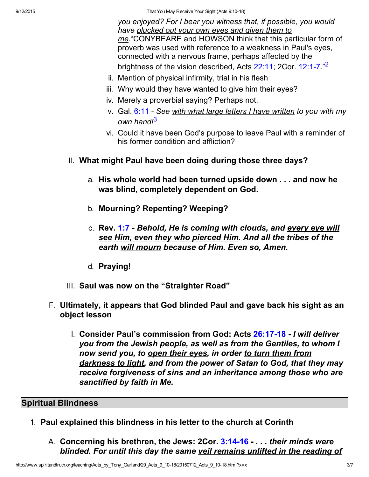9/12/2015 That You May Receive Your Sight (Acts 9:1018)

you enjoyed? For I bear you witness that, if possible, you would have plucked out your own eyes and given them to me."CONYBEARE and HOWSON think that this particular form of proverb was used with reference to a weakness in Paul's eyes, connected with a nervous frame, perhaps affected by the brightness of the vision described, Acts [22:11](http://www.spiritandtruth.org/bibles/nasb/b44c022.htm#Acts_C22V11); 2Cor. 12:1-7."<sup>2</sup>

- ii. Mention of physical infirmity, trial in his flesh
- iii. Why would they have wanted to give him their eyes?
- iv. Merely a proverbial saying? Perhaps not.
- v. Gal. [6:11](http://www.spiritandtruth.org/bibles/nasb/b48c006.htm#Gal._C6V11)  See with what large letters I have written to you with my own hand!<sup>3</sup>
- vi. Could it have been God's purpose to leave Paul with a reminder of his former condition and affliction?
- II. What might Paul have been doing during those three days?
	- a. His whole world had been turned upside down . . . and now he was blind, completely dependent on God.
	- b. Mourning? Repenting? Weeping?
	- c. Rev. [1:7](http://www.spiritandtruth.org/bibles/nasb/b66c001.htm#Rev._C1V7) Behold, He is coming with clouds, and every eye will see Him, even they who pierced Him. And all the tribes of the earth will mourn because of Him. Even so, Amen.
	- d. Praying!
- III. Saul was now on the "Straighter Road"
- F. Ultimately, it appears that God blinded Paul and gave back his sight as an object lesson
	- I. Consider Paul's commission from God: Acts 26:17-18 I will deliver you from the Jewish people, as well as from the Gentiles, to whom I now send you, to open their eyes, in order to turn them from darkness to light, and from the power of Satan to God, that they may receive forgiveness of sins and an inheritance among those who are sanctified by faith in Me.

# Spiritual Blindness

- 1. Paul explained this blindness in his letter to the church at Corinth
	- A. Concerning his brethren, the Jews: 2Cor. 3:14-16 ... their minds were blinded. For until this day the same veil remains unlifted in the reading of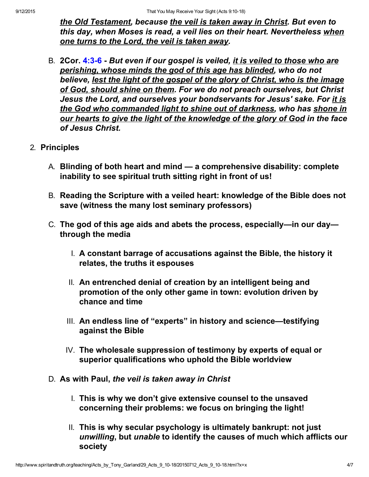the Old Testament, because the veil is taken away in Christ. But even to this day, when Moses is read, a veil lies on their heart. Nevertheless when one turns to the Lord, the veil is taken away.

- B. 2Cor. 4:3-6 But even if our gospel is veiled, it is veiled to those who are perishing, whose minds the god of this age has blinded, who do not believe, lest the light of the gospel of the glory of Christ, who is the image of God, should shine on them. For we do not preach ourselves, but Christ Jesus the Lord, and ourselves your bondservants for Jesus' sake. For it is the God who commanded light to shine out of darkness, who has shone in our hearts to give the light of the knowledge of the glory of God in the face of Jesus Christ.
- 2. Principles
	- A. Blinding of both heart and mind a comprehensive disability: complete inability to see spiritual truth sitting right in front of us!
	- B. Reading the Scripture with a veiled heart: knowledge of the Bible does not save (witness the many lost seminary professors)
	- C. The god of this age aids and abets the process, especially—in our day through the media
		- I. A constant barrage of accusations against the Bible, the history it relates, the truths it espouses
		- II. An entrenched denial of creation by an intelligent being and promotion of the only other game in town: evolution driven by chance and time
		- III. An endless line of "experts" in history and science—testifying against the Bible
		- IV. The wholesale suppression of testimony by experts of equal or superior qualifications who uphold the Bible worldview
	- D. As with Paul, the veil is taken away in Christ
		- I. This is why we don't give extensive counsel to the unsaved concerning their problems: we focus on bringing the light!
		- II. This is why secular psychology is ultimately bankrupt: not just unwilling, but unable to identify the causes of much which afflicts our society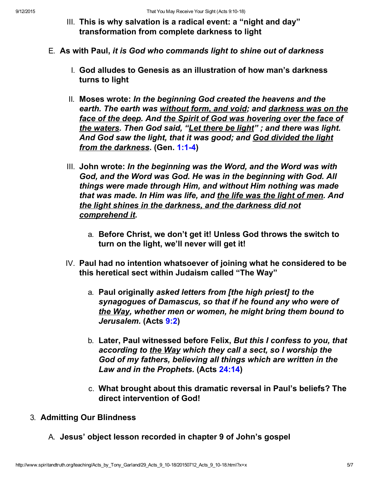- III. This is why salvation is a radical event: a "night and day" transformation from complete darkness to light
- E. As with Paul, it is God who commands light to shine out of darkness
	- I. God alludes to Genesis as an illustration of how man's darkness turns to light
	- II. Moses wrote: In the beginning God created the heavens and the earth. The earth was without form, and void; and darkness was on the face of the deep. And the Spirit of God was hovering over the face of the waters. Then God said, "Let there be light"; and there was light. And God saw the light, that it was good; and God divided the light from the darkness. (Gen. 1:1-4)
	- III. John wrote: In the beginning was the Word, and the Word was with God, and the Word was God. He was in the beginning with God. All things were made through Him, and without Him nothing was made that was made. In Him was life, and the life was the light of men. And the light shines in the darkness, and the darkness did not comprehend it.
		- a. Before Christ, we don't get it! Unless God throws the switch to turn on the light, we'll never will get it!
	- IV. Paul had no intention whatsoever of joining what he considered to be this heretical sect within Judaism called "The Way"
		- a. Paul originally asked letters from [the high priest] to the synagogues of Damascus, so that if he found any who were of the Way, whether men or women, he might bring them bound to Jerusalem. (Acts [9:2](http://www.spiritandtruth.org/bibles/nasb/b44c009.htm#Acts_C9V2))
		- b. Later, Paul witnessed before Felix, But this I confess to you, that according to the Way which they call a sect, so I worship the God of my fathers, believing all things which are written in the Law and in the Prophets. (Acts [24:14](http://www.spiritandtruth.org/bibles/nasb/b44c024.htm#Acts_C24V14))
		- c. What brought about this dramatic reversal in Paul's beliefs? The direct intervention of God!
- 3. Admitting Our Blindness
	- A. Jesus' object lesson recorded in chapter 9 of John's gospel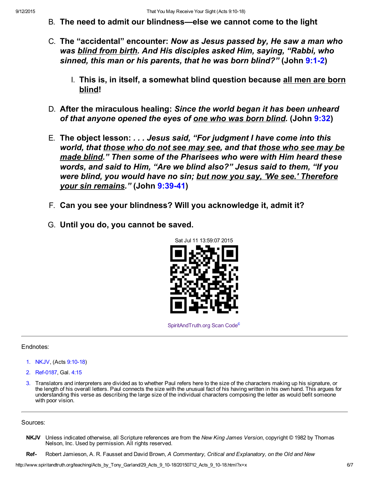- B. The need to admit our blindness—else we cannot come to the light
- C. The "accidental" encounter: Now as Jesus passed by, He saw a man who was blind from birth. And His disciples asked Him, saying, "Rabbi, who sinned, this man or his parents, that he was born blind?" (John 9:1-2)
	- I. This is, in itself, a somewhat blind question because all men are born blind!
- D. After the miraculous healing: Since the world began it has been unheard of that anyone opened the eyes of <u>one who was born blind</u>. (John [9:32\)](http://www.spiritandtruth.org/bibles/nasb/b43c009.htm#John_C9V32)
- E. The object lesson: . . . Jesus said, "For judgment I have come into this world, that those who do not see may see, and that those who see may be made blind." Then some of the Pharisees who were with Him heard these words, and said to Him, "Are we blind also?" Jesus said to them, "If you were blind, you would have no sin; but now you say, 'We see.' Therefore your sin remains." (John 9:39-41)
- F. Can you see your blindness? Will you acknowledge it, admit it?
- G. Until you do, you cannot be saved.



[SpiritAndTruth.org Scan Code](http://www.spiritandtruth.org/)<sup>c</sup>

#### Endnotes:

- [1.](#page-0-0) NKJV, (Acts 9:10-18)
- 2. Ref-0187, Gal. [4:15](http://www.spiritandtruth.org/bibles/nasb/b48c004.htm#Gal._C4V15)
- 3. Translators and interpreters are divided as to whether Paul refers here to the size of the characters making up his signature, or the length of his overall letters. Paul connects the size with the unusual fact of his having written in his own hand. This argues for understanding this verse as describing the large size of the individual characters composing the letter as would befit someone with poor vision.

#### Sources:

- NKJV Unless indicated otherwise, all Scripture references are from the New King James Version, copyright © 1982 by Thomas Nelson, Inc. Used by permission. All rights reserved.
- Ref- Robert Jamieson, A. R. Fausset and David Brown, A Commentary, Critical and Explanatory, on the Old and New